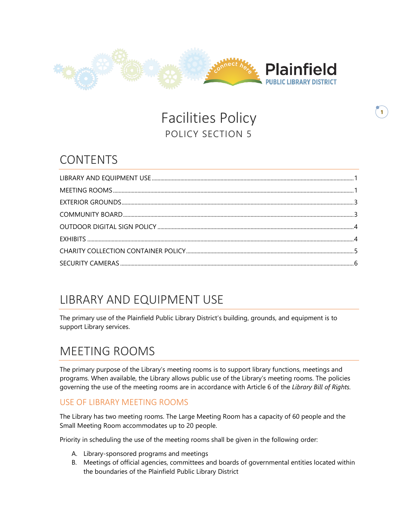

Facilities Policy POLICY SECTION 5

### CONTENTS

# <span id="page-0-0"></span>LIBRARY AND EQUIPMENT USE

The primary use of the Plainfield Public Library District's building, grounds, and equipment is to support Library services.

### <span id="page-0-1"></span>MEETING ROOMS

The primary purpose of the Library's meeting rooms is to support library functions, meetings and programs. When available, the Library allows public use of the Library's meeting rooms. The policies governing the use of the meeting rooms are in accordance with Article 6 of the *Library Bill of Rights.* 

#### USE OF LIBRARY MEETING ROOMS

The Library has two meeting rooms. The Large Meeting Room has a capacity of 60 people and the Small Meeting Room accommodates up to 20 people.

Priority in scheduling the use of the meeting rooms shall be given in the following order:

- A. Library-sponsored programs and meetings
- B. Meetings of official agencies, committees and boards of governmental entities located within the boundaries of the Plainfield Public Library District

**1**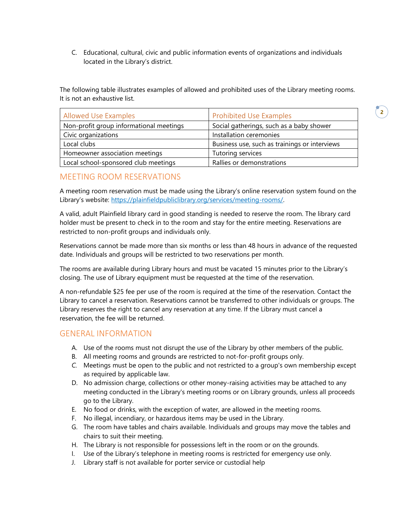C. Educational, cultural, civic and public information events of organizations and individuals located in the Library's district.

The following table illustrates examples of allowed and prohibited uses of the Library meeting rooms. It is not an exhaustive list.

**2**

| <b>Allowed Use Examples</b>             | <b>Prohibited Use Examples</b>                |
|-----------------------------------------|-----------------------------------------------|
| Non-profit group informational meetings | Social gatherings, such as a baby shower      |
| Civic organizations                     | Installation ceremonies                       |
| Local clubs                             | Business use, such as trainings or interviews |
| Homeowner association meetings          | Tutoring services                             |
| Local school-sponsored club meetings    | Rallies or demonstrations                     |

#### MEETING ROOM RESERVATIONS

A meeting room reservation must be made using the Library's online reservation system found on the Library's website: [https://plainfieldpubliclibrary.org/services/meeting-rooms/.](https://plainfieldpubliclibrary.org/services/meeting-rooms/)

A valid, adult Plainfield library card in good standing is needed to reserve the room. The library card holder must be present to check in to the room and stay for the entire meeting. Reservations are restricted to non-profit groups and individuals only.

Reservations cannot be made more than six months or less than 48 hours in advance of the requested date. Individuals and groups will be restricted to two reservations per month.

The rooms are available during Library hours and must be vacated 15 minutes prior to the Library's closing. The use of Library equipment must be requested at the time of the reservation.

A non-refundable \$25 fee per use of the room is required at the time of the reservation. Contact the Library to cancel a reservation. Reservations cannot be transferred to other individuals or groups. The Library reserves the right to cancel any reservation at any time. If the Library must cancel a reservation, the fee will be returned.

#### GENERAL INFORMATION

- A. Use of the rooms must not disrupt the use of the Library by other members of the public.
- B. All meeting rooms and grounds are restricted to not-for-profit groups only.
- *C.* Meetings must be open to the public and not restricted to a group's own membership except as required by applicable law.
- D. No admission charge, collections or other money-raising activities may be attached to any meeting conducted in the Library's meeting rooms or on Library grounds, unless all proceeds go to the Library.
- E. No food or drinks, with the exception of water, are allowed in the meeting rooms.
- F. No illegal, incendiary, or hazardous items may be used in the Library.
- G. The room have tables and chairs available. Individuals and groups may move the tables and chairs to suit their meeting.
- H. The Library is not responsible for possessions left in the room or on the grounds.
- I. Use of the Library's telephone in meeting rooms is restricted for emergency use only.
- J. Library staff is not available for porter service or custodial help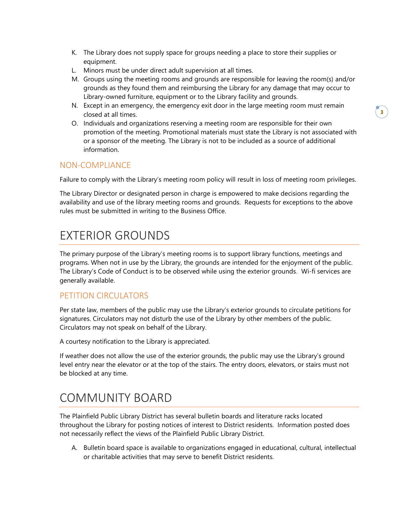- K. The Library does not supply space for groups needing a place to store their supplies or equipment.
- L. Minors must be under direct adult supervision at all times.
- M. Groups using the meeting rooms and grounds are responsible for leaving the room(s) and/or grounds as they found them and reimbursing the Library for any damage that may occur to Library-owned furniture, equipment or to the Library facility and grounds.
- N. Except in an emergency, the emergency exit door in the large meeting room must remain closed at all times.
- O. Individuals and organizations reserving a meeting room are responsible for their own promotion of the meeting. Promotional materials must state the Library is not associated with or a sponsor of the meeting. The Library is not to be included as a source of additional information.

#### NON-COMPLIANCE

Failure to comply with the Library's meeting room policy will result in loss of meeting room privileges.

The Library Director or designated person in charge is empowered to make decisions regarding the availability and use of the library meeting rooms and grounds. Requests for exceptions to the above rules must be submitted in writing to the Business Office.

# <span id="page-2-0"></span>EXTERIOR GROUNDS

The primary purpose of the Library's meeting rooms is to support library functions, meetings and programs. When not in use by the Library, the grounds are intended for the enjoyment of the public. The Library's Code of Conduct is to be observed while using the exterior grounds. Wi-fi services are generally available.

#### PETITION CIRCULATORS

Per state law, members of the public may use the Library's exterior grounds to circulate petitions for signatures. Circulators may not disturb the use of the Library by other members of the public. Circulators may not speak on behalf of the Library.

A courtesy notification to the Library is appreciated.

If weather does not allow the use of the exterior grounds, the public may use the Library's ground level entry near the elevator or at the top of the stairs. The entry doors, elevators, or stairs must not be blocked at any time.

# <span id="page-2-1"></span>COMMUNITY BOARD

The Plainfield Public Library District has several bulletin boards and literature racks located throughout the Library for posting notices of interest to District residents. Information posted does not necessarily reflect the views of the Plainfield Public Library District.

A. Bulletin board space is available to organizations engaged in educational, cultural, intellectual or charitable activities that may serve to benefit District residents.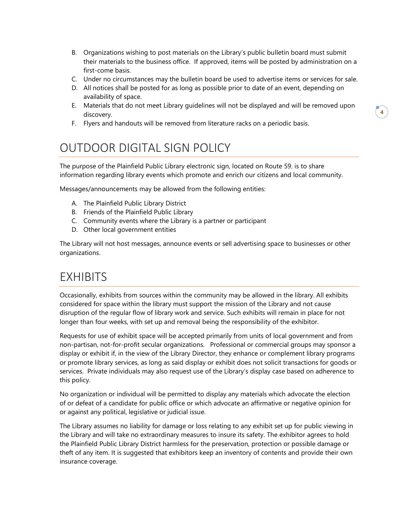- B. Organizations wishing to post materials on the Library's public bulletin board must submit their materials to the business office. If approved, items will be posted by administration on a first-come basis.
- C. Under no circumstances may the bulletin board be used to advertise items or services for sale.
- D. All notices shall be posted for as long as possible prior to date of an event, depending on availability of space.
- E. Materials that do not meet Library guidelines will not be displayed and will be removed upon discovery.
- F. Flyers and handouts will be removed from literature racks on a periodic basis.

## <span id="page-3-0"></span>OUTDOOR DIGITAL SIGN POLICY

The purpose of the Plainfield Public Library electronic sign, located on Route 59, is to share information regarding library events which promote and enrich our citizens and local community.

Messages/announcements may be allowed from the following entities:

- A. The Plainfield Public Library District
- B. Friends of the Plainfield Public Library
- C. Community events where the Library is a partner or participant
- D. Other local government entities

The Library will not host messages, announce events or sell advertising space to businesses or other organizations.

### <span id="page-3-1"></span>EXHIBITS

Occasionally, exhibits from sources within the community may be allowed in the library. All exhibits considered for space within the library must support the mission of the Library and not cause disruption of the regular flow of library work and service. Such exhibits will remain in place for not longer than four weeks, with set up and removal being the responsibility of the exhibitor.

Requests for use of exhibit space will be accepted primarily from units of local government and from non-partisan, not-for-profit secular organizations. Professional or commercial groups may sponsor a display or exhibit if, in the view of the Library Director, they enhance or complement library programs or promote library services, as long as said display or exhibit does not solicit transactions for goods or services. Private individuals may also request use of the Library's display case based on adherence to this policy.

No organization or individual will be permitted to display any materials which advocate the election of or defeat of a candidate for public office or which advocate an affirmative or negative opinion for or against any political, legislative or judicial issue.

The Library assumes no liability for damage or loss relating to any exhibit set up for public viewing in the Library and will take no extraordinary measures to insure its safety. The exhibitor agrees to hold the Plainfield Public Library District harmless for the preservation, protection or possible damage or theft of any item. It is suggested that exhibitors keep an inventory of contents and provide their own insurance coverage.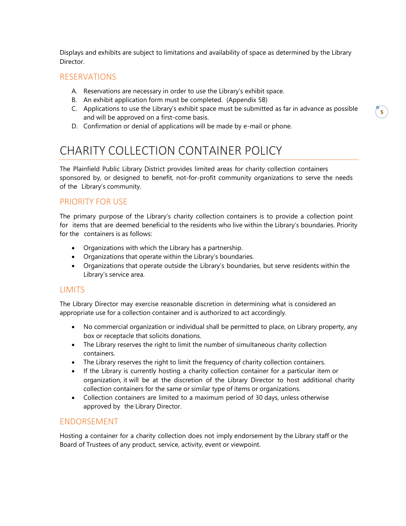Displays and exhibits are subject to limitations and availability of space as determined by the Library Director.

#### RESERVATIONS

- A. Reservations are necessary in order to use the Library's exhibit space.
- B. An exhibit application form must be completed. (Appendix 5B)
- C. Applications to use the Library's exhibit space must be submitted as far in advance as possible and will be approved on a first-come basis.
- D. Confirmation or denial of applications will be made by e-mail or phone.

## <span id="page-4-0"></span>CHARITY COLLECTION CONTAINER POLICY

The Plainfield Public Library District provides limited areas for charity collection containers sponsored by, or designed to benefit, not-for-profit community organizations to serve the needs of the Library's community.

#### PRIORITY FOR USE

The primary purpose of the Library's charity collection containers is to provide a collection point for items that are deemed beneficial to the residents who live within the Library's boundaries. Priority for the containers is as follows:

- Organizations with which the Library has a partnership.
- Organizations that operate within the Library's boundaries.
- Organizations that operate outside the Library's boundaries, but serve residents within the Library's service area.

#### **LIMITS**

The Library Director may exercise reasonable discretion in determining what is considered an appropriate use for a collection container and is authorized to act accordingly.

- No commercial organization or individual shall be permitted to place, on Library property, any box or receptacle that solicits donations.
- The Library reserves the right to limit the number of simultaneous charity collection containers.
- The Library reserves the right to limit the frequency of charity collection containers.
- If the Library is currently hosting a charity collection container for a particular item or organization, it will be at the discretion of the Library Director to host additional charity collection containers for the same or similar type of items or organizations.
- Collection containers are limited to a maximum period of 30 days, unless otherwise approved by the Library Director.

#### ENDORSEMENT

Hosting a container for a charity collection does not imply endorsement by the Library staff or the Board of Trustees of any product, service, activity, event or viewpoint.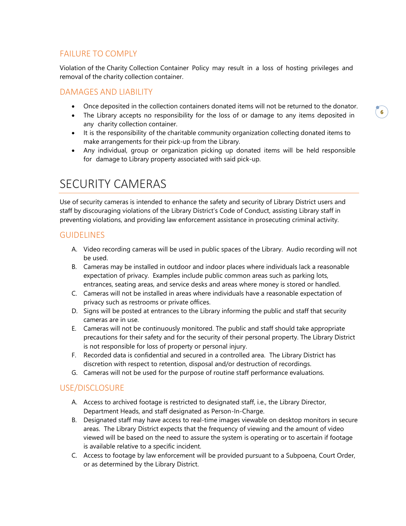#### FAILURE TO COMPLY

Violation of the Charity Collection Container Policy may result in a loss of hosting privileges and removal of the charity collection container.

#### DAMAGES AND LIABILITY

- Once deposited in the collection containers donated items will not be returned to the donator.
- The Library accepts no responsibility for the loss of or damage to any items deposited in any charity collection container.
- It is the responsibility of the charitable community organization collecting donated items to make arrangements for their pick-up from the Library.
- Any individual, group or organization picking up donated items will be held responsible for damage to Library property associated with said pick-up.

### <span id="page-5-0"></span>SECURITY CAMERAS

Use of security cameras is intended to enhance the safety and security of Library District users and staff by discouraging violations of the Library District's Code of Conduct, assisting Library staff in preventing violations, and providing law enforcement assistance in prosecuting criminal activity.

#### GUIDELINES

- A. Video recording cameras will be used in public spaces of the Library. Audio recording will not be used.
- B. Cameras may be installed in outdoor and indoor places where individuals lack a reasonable expectation of privacy. Examples include public common areas such as parking lots, entrances, seating areas, and service desks and areas where money is stored or handled.
- C. Cameras will not be installed in areas where individuals have a reasonable expectation of privacy such as restrooms or private offices.
- D. Signs will be posted at entrances to the Library informing the public and staff that security cameras are in use.
- E. Cameras will not be continuously monitored. The public and staff should take appropriate precautions for their safety and for the security of their personal property. The Library District is not responsible for loss of property or personal injury.
- F. Recorded data is confidential and secured in a controlled area. The Library District has discretion with respect to retention, disposal and/or destruction of recordings.
- G. Cameras will not be used for the purpose of routine staff performance evaluations.

#### USE/DISCLOSURE

- A. Access to archived footage is restricted to designated staff, i.e., the Library Director, Department Heads, and staff designated as Person-In-Charge.
- B. Designated staff may have access to real-time images viewable on desktop monitors in secure areas. The Library District expects that the frequency of viewing and the amount of video viewed will be based on the need to assure the system is operating or to ascertain if footage is available relative to a specific incident.
- C. Access to footage by law enforcement will be provided pursuant to a Subpoena, Court Order, or as determined by the Library District.

**6**